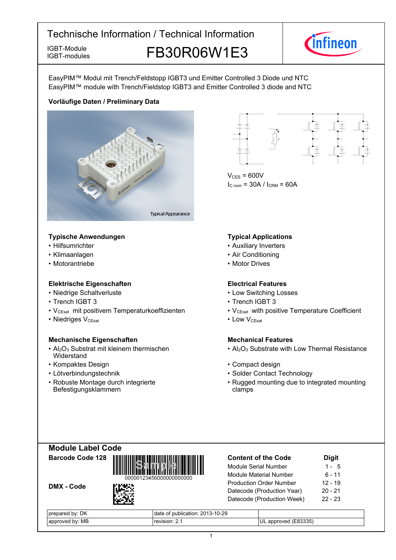IGBT-modules

IGBT-Module **FB30R06W1E3** 



EasyPIM™ Modul mit Trench/Feldstopp IGBT3 und Emitter Controlled 3 Diode und NTC EasyPIM™ module with Trench/Fieldstop IGBT3 and Emitter Controlled 3 diode and NTC

# **Vorläufige-Daten-/-Preliminary-Data**



- **Typische-Anwendungen Typical-**
- $\cdot$  Hilfsumrichter
- Klimaanlagen
- Motorantriebe

# **Elektrische Eigenschaften Electrical-**

- Niedrige-Schaltverluste Low-
- Trench IGBT
- V<sub>CEsat</sub> mit positivem Temperaturkoeffizienten V<sub>CEsat</sub>
- Niedriges V<sub>CEsat</sub>

# **Mechanische Eigenschaften Mechanical-**

- $Al_2O_3$  Substrat mit kleinem thermischen **Widerstand**
- Kompaktes Design
- Lötverbindungstechnik
- Robuste Montage durch integrierte Befestigungsklammern



 $V_{CFS}$  = 600V  $I_{C nom}$  = 30A /  $I_{CRM}$  = 60A

### **Typical Applications**

- Auxiliary Inverters
- Air Conditioning
- Motor Drives

# **Electrical Features**

- Switching Losses
- 3 Trench IGBT 3
	- with positive Temperature Coefficient
- $V_{\text{CEsat}}$  Low • Low V<sub>CEsat</sub>

# **Mechanical Features**

- Al<sub>2</sub>O<sub>3</sub> Substrate with Low Thermal Resistance
- Design **begins and the Compact design Compact design** 
	- Contact Technology
	- Rugged mounting due to integrated mounting clamps





DMX - Code



| DK<br>epared<br>hv·<br>prei | f publication: 2013-10-29<br>date<br>، ال |                                    |
|-----------------------------|-------------------------------------------|------------------------------------|
| MB<br>hv.<br>onrover<br>or  | sıon<br>"AVI                              | 33335<br>MPT<br>anı<br>' UL<br>ר ה |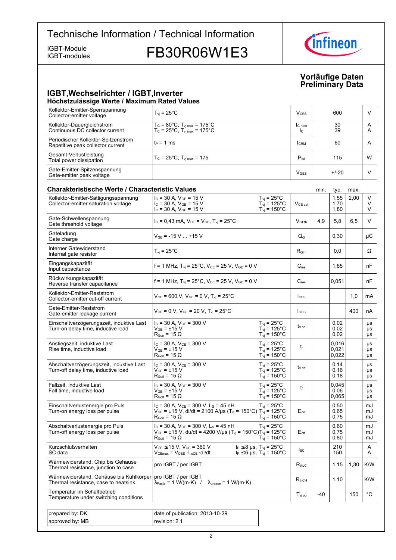IGBT-modules

IGBT-Module<br>IGBT-modules FB30R06W1E3



# **Vorläufige-Daten Preliminary-Data**

## **IGBT, Wechselrichter / IGBT, Inverter Höchstzulässige-Werte-/-Maximum-Rated-Values**

| Kollektor-Emitter-Sperrspannung<br>Collector-emitter voltage             | $T_{\rm vi}$ = 25 $^{\circ}$ C                                                                                         | $V_{CES}$              | 600      |        |
|--------------------------------------------------------------------------|------------------------------------------------------------------------------------------------------------------------|------------------------|----------|--------|
| Kollektor-Dauergleichstrom<br>Continuous DC collector current            | $T_c = 80^{\circ}$ C, $T_{\text{vi max}} = 175^{\circ}$ C<br>$T_c = 25^{\circ}C$ , $T_{v1 \text{ max}} = 175^{\circ}C$ | $IC$ nom<br>Ic.        | 30<br>39 | A<br>Α |
| Periodischer Kollektor-Spitzenstrom<br>Repetitive peak collector current | $t_P = 1$ ms                                                                                                           | <b>CRM</b>             | 60       | A      |
| Gesamt-Verlustleistung<br>Total power dissipation                        | $T_c = 25^{\circ}$ C, $T_{\text{vi max}} = 175$                                                                        | $P_{\text{tot}}$       | 115      | W      |
| Gate-Emitter-Spitzenspannung<br>Gate-emitter peak voltage                |                                                                                                                        | <b>V<sub>GES</sub></b> | $+/-20$  |        |

| <b>Charakteristische Werte / Characteristic Values</b>                          |                                                                                                                                                                                              |                                                                                          |                           | min.  | typ.                    | max. |                   |
|---------------------------------------------------------------------------------|----------------------------------------------------------------------------------------------------------------------------------------------------------------------------------------------|------------------------------------------------------------------------------------------|---------------------------|-------|-------------------------|------|-------------------|
| Kollektor-Emitter-Sättigungsspannung<br>Collector-emitter saturation voltage    | $I_C$ = 30 A, $V_{GE}$ = 15 V<br>$I_{C}$ = 30 A, $V_{GE}$ = 15 V<br>$I_c = 30 A$ , $V_{GE} = 15 V$                                                                                           | $T_{vi}$ = 25°C<br>$T_{\text{vj}}$ = 125°C<br>$T_{\text{vj}}$ = 150°C                    | $V_{CE\ sat}$             |       | 1,55<br>1,70<br>1,80    | 2,00 | V<br>V<br>V       |
| Gate-Schwellenspannung<br>Gate threshold voltage                                | $I_C = 0,43$ mA, $V_{CE} = V_{GE}$ , $T_{vi} = 25^{\circ}$ C                                                                                                                                 |                                                                                          | $V_{\text{GEth}}$         | 4.9   | 5.8                     | 6.5  | V                 |
| Gateladung<br>Gate charge                                                       | $V_{GE}$ = -15 V  +15 V                                                                                                                                                                      |                                                                                          | $\mathsf{Q}_{\mathsf{G}}$ |       | 0,30                    |      | μC                |
| Interner Gatewiderstand<br>Internal gate resistor                               | $T_{vi}$ = 25°C                                                                                                                                                                              |                                                                                          | $R_{\text{Gint}}$         |       | 0,0                     |      | Ω                 |
| Eingangskapazität<br>Input capacitance                                          | f = 1 MHz, $T_{vi}$ = 25°C, $V_{CE}$ = 25 V, $V_{GE}$ = 0 V                                                                                                                                  |                                                                                          | $C_{\text{ies}}$          |       | 1,65                    |      | nF                |
| Rückwirkungskapazität<br>Reverse transfer capacitance                           | f = 1 MHz, $T_{vi}$ = 25°C, $V_{CE}$ = 25 V, $V_{GE}$ = 0 V                                                                                                                                  |                                                                                          | $C_{res}$                 |       | 0,051                   |      | nF                |
| Kollektor-Emitter-Reststrom<br>Collector-emitter cut-off current                | $V_{CE}$ = 600 V, $V_{GE}$ = 0 V, $T_{vi}$ = 25°C                                                                                                                                            |                                                                                          | $I_{CES}$                 |       |                         | 1,0  | mA                |
| Gate-Emitter-Reststrom<br>Gate-emitter leakage current                          | $V_{CE} = 0 V$ , $V_{GE} = 20 V$ , $T_{vi} = 25^{\circ}C$                                                                                                                                    |                                                                                          | $I_{\text{GES}}$          |       |                         | 400  | nA                |
| Einschaltverzögerungszeit, induktive Last<br>Turn-on delay time, inductive load | $I_C = 30 A$ , $V_{CE} = 300 V$<br>$V_{GE}$ = $\pm 15$ V<br>$\mathsf{R}_{\mathsf{Gon}}$ = 15 $\Omega$                                                                                        | $T_{vi}$ = 25°C<br>$T_{vi} = 125^{\circ}$ C<br>$T_{\text{vj}}$ = 150°C                   | t <sub>d on</sub>         |       | 0,02<br>0,02<br>0,02    |      | μs<br>μs<br>μs    |
| Anstiegszeit, induktive Last<br>Rise time, inductive load                       | $I_C$ = 30 A, $V_{CE}$ = 300 V<br>$V_{GF}$ = $\pm$ 15 V<br>$\mathsf{R}_{\mathsf{Gon}}$ = 15 $\Omega$                                                                                         | $T_{vi}$ = 25 $^{\circ}$ C<br>$T_{vi}$ = 125°C<br>$T_{vi}$ = 150 $^{\circ}$ C            | t                         |       | 0.016<br>0.021<br>0,022 |      | μs<br>μs<br>μs    |
| Abschaltverzögerungszeit, induktive Last<br>Turn-off delay time, inductive load | $I_C$ = 30 A, $V_{CE}$ = 300 V<br>$\rm V_{GE}$ = $\pm 15~\rm V$<br>$R_{Goff}$ = 15 $\Omega$                                                                                                  | $T_{\rm vj}$ = 25°C<br>$T_{vi}$ = 125°C<br>$T_{\text{vj}}$ = 150°C                       | $t_{d \text{ off}}$       |       | 0,14<br>0,16<br>0,18    |      | μs<br>μs<br>μs    |
| Fallzeit, induktive Last<br>Fall time, inductive load                           | $I_C = 30 A$ , $V_{CE} = 300 V$<br>V <sub>GE</sub> = ±15 V<br>$R_{Goff}$ = 15 $\Omega$                                                                                                       | $T_{\rm vj}$ = 25°C<br>$T_{\rm vj}$ = 125°C<br>$T_{\rm vj} = 150^{\circ}$ C              | t                         |       | 0.045<br>0,06<br>0,065  |      | μs<br>μs<br>μs    |
| Einschaltverlustenergie pro Puls<br>Turn-on energy loss per pulse               | $I_C = 30$ A, $V_{CE} = 300$ V, L <sub>S</sub> = 45 nH<br>$V_{GE}$ = ±15 V, di/dt = 2100 A/µs (T <sub>vj</sub> = 150°C) T <sub>vj</sub> = 125°C<br>$\mathsf{R}_{\mathsf{Gon}}$ = 15 $\Omega$ | $T_{\text{vj}}$ = 25°C<br>$T_{vi}$ = 150 $^{\circ}$ C                                    | $E_{on}$                  |       | 0,50<br>0.65<br>0,75    |      | mJ<br>mJ<br>mJ    |
| Abschaltverlustenergie pro Puls<br>Turn-off energy loss per pulse               | $I_c = 30$ A, $V_{CE} = 300$ V, $L_s = 45$ nH<br>$V_{GE}$ = ±15 V, du/dt = 4200 V/µs (T <sub>vj</sub> = 150°C)T <sub>vj</sub> = 125°C<br>$R_{\text{Goff}}$ = 15 $\Omega$                     | $T_{\rm vj}$ = 25°C<br>$T_{vi}$ = 150 $^{\circ}$ C                                       | $E_{\text{off}}$          |       | 0,60<br>0,75<br>0,80    |      | mJ<br>mJ<br>mJ    |
| Kurzschlußverhalten<br>SC data                                                  | $V_{GE}$ $\leq$ 15 V, V <sub>CC</sub> = 360 V<br>$V_{CEmax} = V_{CES} - L_{sCE} \cdot di/dt$                                                                                                 | $t_P \leq 8$ µs, $T_{vj} = 25^{\circ}C$<br>$t_P \le 6 \,\mu s$ , $T_{vj} = 150^{\circ}C$ | $I_{SC}$                  |       | 210<br>150              |      | A<br>Α            |
| Wärmewiderstand, Chip bis Gehäuse<br>Thermal resistance, junction to case       | pro IGBT / per IGBT                                                                                                                                                                          |                                                                                          | $R_{thJC}$                |       | 1,15                    | 1,30 | K/W               |
| Wärmewiderstand, Gehäuse bis Kühlkörper<br>Thermal resistance, case to heatsink | pro IGBT / per IGBT<br>$\lambda_{\text{Paste}} = 1 \text{ W/(m} \cdot \text{K)}$ / $\lambda_{\text{grease}} = 1 \text{ W/(m} \cdot \text{K)}$                                                |                                                                                          | $R_{thCH}$                |       | 1,10                    |      | K/W               |
| Temperatur im Schaltbetrieb<br>Temperature under switching conditions           |                                                                                                                                                                                              |                                                                                          | $T_{\text{vj op}}$        | $-40$ |                         | 150  | $^{\circ}{\rm C}$ |
|                                                                                 |                                                                                                                                                                                              |                                                                                          |                           |       |                         |      |                   |
| prepared by: DK                                                                 | date of publication: 2013-10-29                                                                                                                                                              |                                                                                          |                           |       |                         |      |                   |
| approved by: MB                                                                 | revision: 2.1                                                                                                                                                                                |                                                                                          |                           |       |                         |      |                   |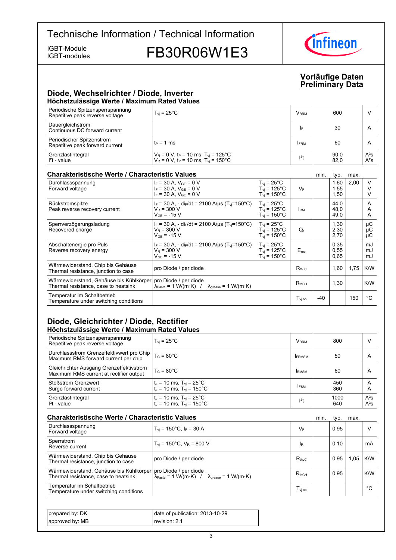IGBT-modules

IGBT-Module<br>IGBT-modules FB30R06W1E3



## **Vorläufige-Daten Preliminary-Data**

# **Diode,-Wechselrichter-/-Diode,-Inverter Höchstzulässige-Werte-/-Maximum-Rated-Values**

| Periodische Spitzensperrspannung<br>Repetitive peak reverse voltage | $T_{vi}$ = 25 $^{\circ}$ C                                                                                                            | <b>V</b> <sub>RRM</sub> | 600          |                  |
|---------------------------------------------------------------------|---------------------------------------------------------------------------------------------------------------------------------------|-------------------------|--------------|------------------|
| Dauergleichstrom<br>Continuous DC forward current                   |                                                                                                                                       | I۴                      | 30           |                  |
| Periodischer Spitzenstrom<br>Repetitive peak forward current        | $t_P = 1$ ms                                                                                                                          | <b>FRM</b>              | 60           |                  |
| Grenzlastintegral<br>$I2t - value$                                  | $V_R$ = 0 V, t <sub>P</sub> = 10 ms, T <sub>vj</sub> = 125°C<br>V <sub>R</sub> = 0 V, t <sub>P</sub> = 10 ms, T <sub>vj</sub> = 150°C | $12$ t                  | 90,0<br>82,0 | $A^2S$<br>$A^2S$ |

# **Charakteristische Werte / Characteristic**

| <b>Charakteristische Werte / Characteristic Values</b>                          |                                                                                                                       |                                                                                |                              | min.  | typ.                 | max. |                |
|---------------------------------------------------------------------------------|-----------------------------------------------------------------------------------------------------------------------|--------------------------------------------------------------------------------|------------------------------|-------|----------------------|------|----------------|
| Durchlassspannung<br>Forward voltage                                            | $I_F = 30$ A, $V_{GF} = 0$ V<br>$I_F = 30 A$ , $V_{GE} = 0 V$<br>$I_F = 30 A$ , $V_{GE} = 0 V$                        | $T_{vi}$ = 25°C<br>$T_{\rm vi}$ = 125°C<br>$T_{\rm vi}$ = 150°C                | $V_F$                        |       | 1,60<br>1,55<br>1,50 | 2,00 |                |
| Rückstromspitze<br>Peak reverse recovery current                                | $I_F$ = 30 A, - di <sub>F</sub> /dt = 2100 A/us (T <sub>vi</sub> =150°C)<br>$V_R = 300 V$<br>$V_{GF}$ = -15 V         | $T_{vi}$ = 25°C<br>$T_{\rm vi}$ = 125°C<br>$T_{\rm vi}$ = 150°C                | <b>IRM</b>                   |       | 44.0<br>48,0<br>49,0 |      | A<br>A<br>A    |
| Sperrverzögerungsladung<br>Recovered charge                                     | $I_F = 30$ A, - dir/dt = 2100 A/us (T <sub>vi</sub> =150°C)<br>$V_R = 300 V$<br>$V_{GF}$ = -15 V                      | $T_{\rm vi}$ = 25 $^{\circ}$ C<br>$T_{\rm vi}$ = 125°C<br>$T_{\rm vi}$ = 150°C | Q,                           |       | 1,30<br>2,30<br>2,70 |      | μC<br>μC<br>μC |
| Abschaltenergie pro Puls<br>Reverse recovery energy                             | $I_F$ = 30 A, - di <sub>F</sub> /dt = 2100 A/us (T <sub>vi</sub> =150 °C)<br>$V_R$ = 300 V<br>$V_{GF}$ = -15 V        | $T_{\rm vi}$ = 25°C<br>$T_{\rm vi}$ = 125°C<br>$T_{\rm vi}$ = 150°C.           | $E_{rec}$                    |       | 0,35<br>0,55<br>0,65 |      | mJ<br>mJ<br>mJ |
| Wärmewiderstand, Chip bis Gehäuse<br>Thermal resistance, junction to case       | pro Diode / per diode                                                                                                 |                                                                                | $R_{thJC}$                   |       | 1,60                 | 1,75 | K/W            |
| Wärmewiderstand, Gehäuse bis Kühlkörper<br>Thermal resistance, case to heatsink | pro Diode / per diode<br>$\lambda_{\text{Paste}} = 1 \text{ W/(m·K)}$ / $\lambda_{\text{grease}} = 1 \text{ W/(m·K)}$ |                                                                                | $R_{thCH}$                   |       | 1,30                 |      | K/W            |
| Temperatur im Schaltbetrieb<br>Temperature under switching conditions           |                                                                                                                       |                                                                                | $\mathsf{T}_\mathsf{vi\ op}$ | $-40$ |                      | 150  | °C             |

# **Diode, Gleichrichter / Diode, Rectifier Höchstzulässige-Werte-/-Maximum-Rated-Values**

| Periodische Spitzensperrspannung<br>Repetitive peak reverse voltage                 | $T_{\rm vi}$ = 25 $^{\circ}$ C                                                    | V <sub>RRM</sub> | 800         | ν                |
|-------------------------------------------------------------------------------------|-----------------------------------------------------------------------------------|------------------|-------------|------------------|
| Durchlassstrom Grenzeffektivwert pro Chip  <br>Maximum RMS forward current per chip | $T_c = 80^{\circ}$ C                                                              | <b>IFRMSM</b>    | 50          | A                |
| Gleichrichter Ausgang Grenzeffektivstrom<br>Maximum RMS current at rectifier output | $T_c = 80^{\circ}$ C                                                              | <b>IRMSM</b>     | 60          | A                |
| <b>Stoßstrom Grenzwert</b><br>Surge forward current                                 | $t_p = 10$ ms, $T_{vj} = 25^{\circ}$ C<br>$t_p = 10$ ms, $T_{vj} = 150^{\circ}$ C | <b>IFSM</b>      | 450<br>360  | A<br>Α           |
| Grenzlastintegral<br>$I2t - value$                                                  | $t_p = 10$ ms, $T_{vj} = 25^{\circ}$ C<br>$t_p = 10$ ms, $T_{vj} = 150^{\circ}$ C | $ ^{2}t$         | 1000<br>640 | $A^2S$<br>$A^2S$ |

| <b>Charakteristische Werte / Characteristic Values</b>                                                  |                                                                                                                        |                    | min. | typ. | max. |     |
|---------------------------------------------------------------------------------------------------------|------------------------------------------------------------------------------------------------------------------------|--------------------|------|------|------|-----|
| Durchlassspannung<br>Forward voltage                                                                    | $T_{vi}$ = 150°C, I <sub>F</sub> = 30 A                                                                                | $V_F$              |      | 0.95 |      |     |
| Sperrstrom<br>Reverse current                                                                           | $T_{\text{vi}}$ = 150°C, $V_{\text{R}}$ = 800 V                                                                        | <b>IR</b>          |      | 0,10 |      | mA  |
| Wärmewiderstand, Chip bis Gehäuse<br>Thermal resistance, junction to case                               | pro Diode / per diode                                                                                                  | $R_{th,IC}$        |      | 0.95 | .05  | K/W |
| Wärmewiderstand, Gehäuse bis Kühlkörper   pro Diode / per diode<br>Thermal resistance, case to heatsink | $\lambda_{\text{Paste}} = 1 \text{ W/(m} \cdot \text{K)}$ / $\lambda_{\text{grease}} = 1 \text{ W/(m} \cdot \text{K)}$ | $R_{thCH}$         |      | 0.95 |      | K/W |
| Temperatur im Schaltbetrieb<br>Temperature under switching conditions                                   |                                                                                                                        | $T_{\text{vj op}}$ |      |      |      | °С  |

| prepared by: DK    | publication: 2013-10-29<br>date of |
|--------------------|------------------------------------|
| by: MB<br>approved | revision: 2.1                      |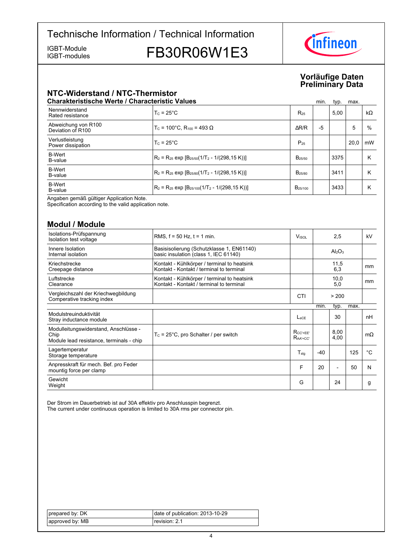IGBT-modules

IGBT-Module<br>IGBT-modules FB30R06W1E3



# **Vorläufige-Daten Preliminary-Data**

# **NTC-Widerstand-/-NTC-Thermistor**

|                                          | <b>Charakteristische Werte / Characteristic Values</b>            |                     | min. | typ. | max. |           |
|------------------------------------------|-------------------------------------------------------------------|---------------------|------|------|------|-----------|
| Nennwiderstand<br>Rated resistance       | $T_c = 25^{\circ}$ C                                              | $R_{25}$            |      | 5.00 |      | $k\Omega$ |
| Abweichung von R100<br>Deviation of R100 | $T_c$ = 100°C. R <sub>100</sub> = 493 Ω                           | $\Delta$ R/R        | -5   |      | 5    | %         |
| Verlustleistung<br>Power dissipation     | $T_c = 25^{\circ}$ C                                              | $P_{25}$            |      |      | 20.0 | mW        |
| <b>B-Wert</b><br>B-value                 | $R_2 = R_{25}$ exp $[B_{25/50}(1/T_2 - 1/(298, 15 K))]$           | $B_{25/50}$         |      | 3375 |      | κ         |
| <b>B-Wert</b><br>B-value                 | $R_2 = R_{25}$ exp $[B_{25/80}(1/T_2 - 1/(298, 15 K))]$           | B <sub>25/80</sub>  |      | 3411 |      | κ         |
| <b>B-Wert</b><br>B-value                 | $R_2$ = R <sub>25</sub> exp $[B_{25/100}(1/T_2 - 1/(298, 15 K))]$ | B <sub>25/100</sub> |      | 3433 |      | κ         |

Angaben gemäß gültiger Application Note.

Specification according to the valid application note.

# **Modul-/-Module**

| Isolations-Prüfspannung<br>Isolation test voltage                                         | RMS, $f = 50$ Hz, $t = 1$ min.                                                          | <b>V</b> <sub>ISOL</sub>    |       | 2,5                            |      | kV          |
|-------------------------------------------------------------------------------------------|-----------------------------------------------------------------------------------------|-----------------------------|-------|--------------------------------|------|-------------|
| Innere Isolation<br>Internal isolation                                                    | Basisisolierung (Schutzklasse 1, EN61140)<br>basic insulation (class 1, IEC 61140)      |                             |       | Al <sub>2</sub> O <sub>3</sub> |      |             |
| Kriechstrecke<br>Creepage distance                                                        | Kontakt - Kühlkörper / terminal to heatsink<br>Kontakt - Kontakt / terminal to terminal |                             |       | 11,5<br>6,3                    |      | mm          |
| Luftstrecke<br>Clearance                                                                  | Kontakt - Kühlkörper / terminal to heatsink<br>Kontakt - Kontakt / terminal to terminal |                             |       | 10,0<br>5,0                    |      | mm          |
| Vergleichszahl der Kriechwegbildung<br>Comperative tracking index                         |                                                                                         | <b>CTI</b>                  |       | > 200                          |      |             |
|                                                                                           |                                                                                         |                             | min.  | typ.                           | max. |             |
| Modulstreuinduktivität<br>Stray inductance module                                         |                                                                                         | $L_{\rm{SCF}}$              |       | 30                             |      | nH          |
| Modulleitungswiderstand, Anschlüsse -<br>Chip<br>Module lead resistance, terminals - chip | $T_c$ = 25°C, pro Schalter / per switch                                                 | $R_{CC' + FF'}$<br>$RAA+CC$ |       | 8,00<br>4,00                   |      | $m\Omega$   |
| Lagertemperatur<br>Storage temperature                                                    |                                                                                         | $T_{\sf stq}$               | $-40$ |                                | 125  | $^{\circ}C$ |
| Anpresskraft für mech. Bef. pro Feder<br>mountig force per clamp                          |                                                                                         | F                           | 20    |                                | 50   | N           |
| Gewicht<br>Weight                                                                         |                                                                                         | G                           |       | 24                             |      | g           |

Der Strom im Dauerbetrieb ist auf 30A effektiv pro Anschlusspin begrenzt.

The current under continuous operation is limited to 30A rms per connector pin.

| prepared by: DK | date of publication: 2013-10-29 |
|-----------------|---------------------------------|
| approved by: MB | revision: 2.1                   |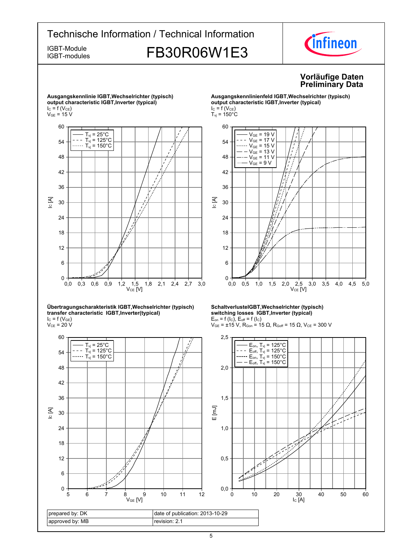# Technische Information / Technical Information *Cinfineon* IGBT-Module **FB30R06W1E3** IGBT-modules **Vorläufige-Daten Preliminary-Data**



**Ausgangskennlinie-IGBT,Wechselrichter-(typisch)**

#### **Übertragungscharakteristik-IGBT,Wechselrichter-(typisch) transfer-characteristic--IGBT,Inverter(typical)**  $I_{C}$  = f (V<sub>GE</sub>)

 $\rm V_{CE}$  = 20 V



#### **Ausgangskennlinienfeld-IGBT,Wechselrichter-(typisch) output-characteristic-IGBT,Inverter-(typical)**  $I_C = f(V_{CE})$  $T_{\rm vj}$  = 150 $^{\circ}$ C



#### **SchaltverlusteIGBT,Wechselrichter-(typisch) switching-losses--IGBT,Inverter-(typical)**  $E_{on}$  = f (l<sub>C</sub>),  $E_{off}$  = f (l<sub>C</sub>)

 $V_{GE}$  = ±15 V, R<sub>Gon</sub> = 15 Ω, R<sub>Goff</sub> = 15 Ω, V<sub>CE</sub> = 300 V

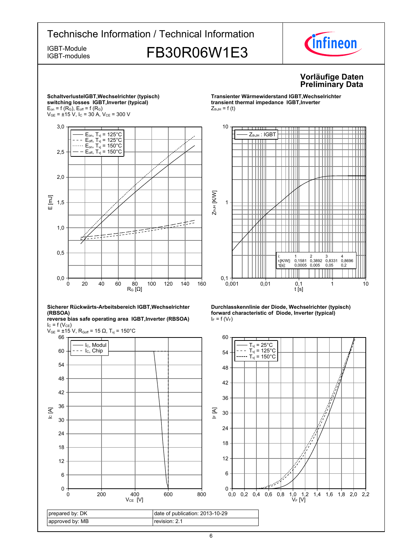

6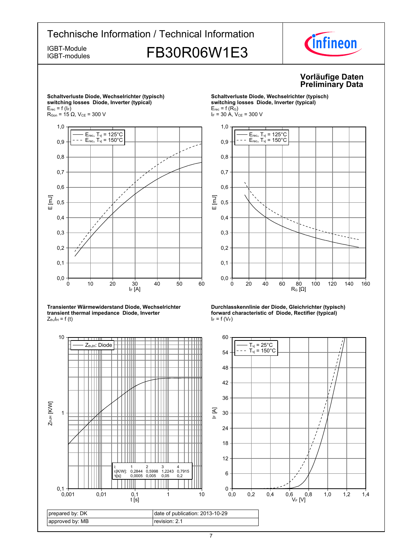# Technische Information / Technical Information IGBT-Module<br>IGBT-modules FB30R06W1E3



IGBT-modules

# **Vorläufige-Daten Preliminary-Data**



**Transienter-Wärmewiderstand-Diode,-Wechselrichter transient thermal impedance Diode, Inverter**  $Z_{thJ}I_H = f(t)$ 







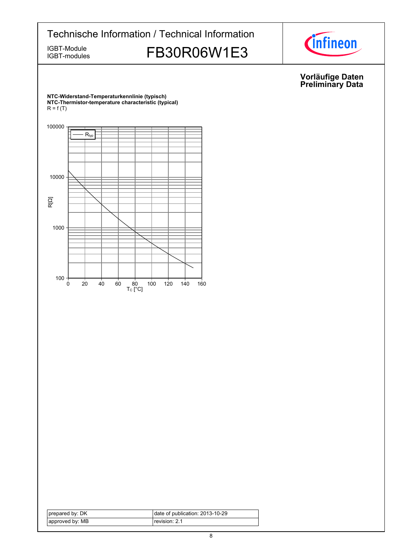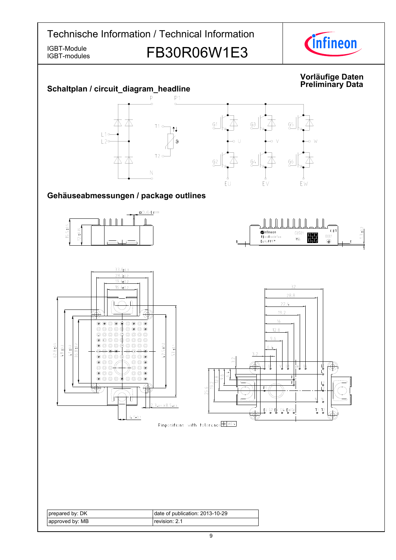IGBT-modules

IGBT-Module<br>IGBT-modules FB30R06W1E3